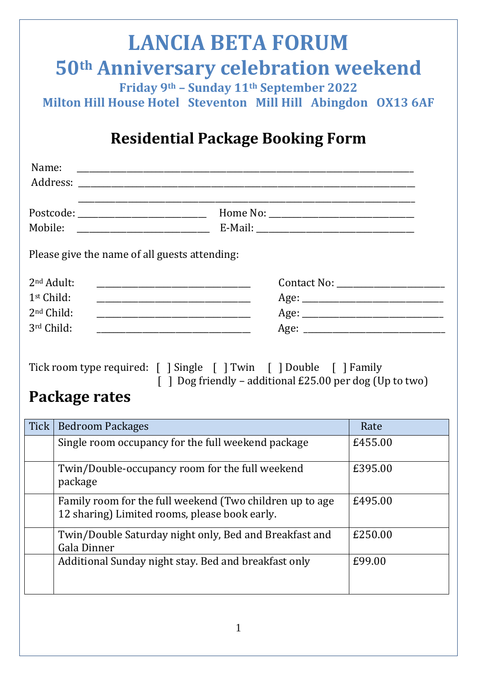# **LANCIA BETA FORUM 50th Anniversary celebration weekend Friday 9th – Sunday 11th September 2022**

**Milton Hill House Hotel Steventon Mill Hill Abingdon OX13 6AF**

## **Residential Package Booking Form**

| Mobile: __________________________            |      |  |
|-----------------------------------------------|------|--|
| Please give the name of all guests attending: |      |  |
| 2 <sup>nd</sup> Adult:                        |      |  |
| 1 <sup>st</sup> Child:                        | Age: |  |
| $2nd$ Child:                                  |      |  |
| 3rd Child:                                    |      |  |
|                                               |      |  |

| Tick room type required: [ ] Single [ ] Twin [ ] Double [ ] Family |  |  |                                                                 |  |  |
|--------------------------------------------------------------------|--|--|-----------------------------------------------------------------|--|--|
|                                                                    |  |  | $\lceil$   Dog friendly – additional £25.00 per dog (Up to two) |  |  |

## **Package rates**

| Tick | <b>Bedroom Packages</b>                                                                                   | Rate    |
|------|-----------------------------------------------------------------------------------------------------------|---------|
|      | Single room occupancy for the full weekend package                                                        | £455.00 |
|      | Twin/Double-occupancy room for the full weekend<br>package                                                | £395.00 |
|      | Family room for the full weekend (Two children up to age<br>12 sharing) Limited rooms, please book early. | £495.00 |
|      | Twin/Double Saturday night only, Bed and Breakfast and<br>Gala Dinner                                     | £250.00 |
|      | Additional Sunday night stay. Bed and breakfast only                                                      | £99.00  |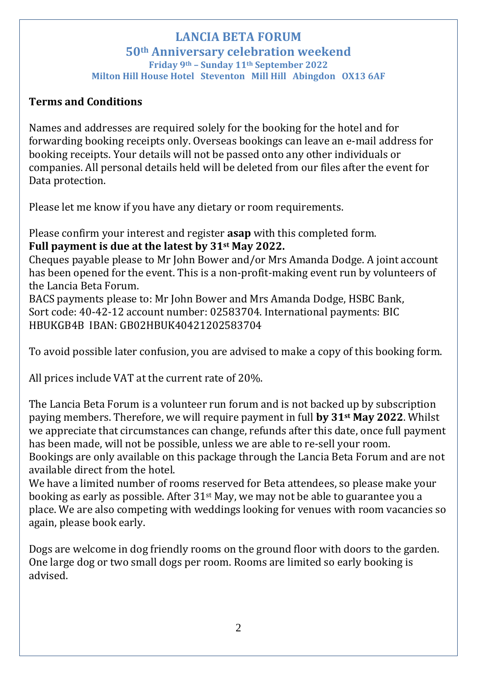#### **LANCIA BETA FORUM 50th Anniversary celebration weekend Friday 9th – Sunday 11th September 2022 Milton Hill House Hotel Steventon Mill Hill Abingdon OX13 6AF**

### **Terms and Conditions**

Names and addresses are required solely for the booking for the hotel and for forwarding booking receipts only. Overseas bookings can leave an e-mail address for booking receipts. Your details will not be passed onto any other individuals or companies. All personal details held will be deleted from our files after the event for Data protection.

Please let me know if you have any dietary or room requirements.

Please confirm your interest and register **asap** with this completed form. **Full payment is due at the latest by 31st May 2022.**

Cheques payable please to Mr John Bower and/or Mrs Amanda Dodge. A joint account has been opened for the event. This is a non-profit-making event run by volunteers of the Lancia Beta Forum.

BACS payments please to: Mr John Bower and Mrs Amanda Dodge, HSBC Bank, Sort code: 40-42-12 account number: 02583704. International payments: BIC HBUKGB4B IBAN: GB02HBUK40421202583704

To avoid possible later confusion, you are advised to make a copy of this booking form.

All prices include VAT at the current rate of 20%.

The Lancia Beta Forum is a volunteer run forum and is not backed up by subscription paying members. Therefore, we will require payment in full **by 31st May 2022**. Whilst we appreciate that circumstances can change, refunds after this date, once full payment has been made, will not be possible, unless we are able to re-sell your room. Bookings are only available on this package through the Lancia Beta Forum and are not available direct from the hotel.

We have a limited number of rooms reserved for Beta attendees, so please make your booking as early as possible. After 31st May, we may not be able to guarantee you a place. We are also competing with weddings looking for venues with room vacancies so again, please book early.

Dogs are welcome in dog friendly rooms on the ground floor with doors to the garden. One large dog or two small dogs per room. Rooms are limited so early booking is advised.